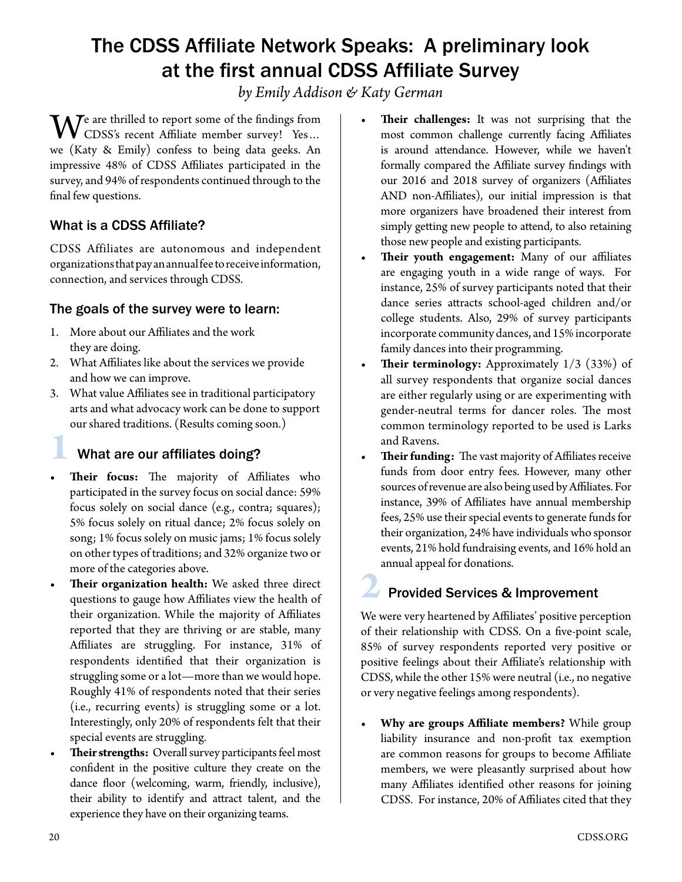# The CDSS Affiliate Network Speaks: A preliminary look at the first annual CDSS Affiliate Survey

*by Emily Addison & Katy German*

 $\mathbf{W}^{\text{e}}$  are thrilled to report some of the findings from CDSS's recent Affiliate member survey! Yes... we (Katy & Emily) confess to being data geeks. An impressive 48% of CDSS Affiliates participated in the survey, and 94% of respondents continued through to the final few questions.

### What is a CDSS Affiliate?

CDSS Affiliates are autonomous and independent organizations that pay an annual fee to receive information, connection, and services through CDSS.

#### The goals of the survey were to learn:

- 1. More about our Affiliates and the work they are doing.
- 2. What Affiliates like about the services we provide and how we can improve.
- 3. What value Affiliates see in traditional participatory arts and what advocacy work can be done to support our shared traditions. (Results coming soon.)

#### **1** What are our affiliates doing?

- **• Their focus:** The majority of Affiliates who participated in the survey focus on social dance: 59% focus solely on social dance (e.g., contra; squares); 5% focus solely on ritual dance; 2% focus solely on song; 1% focus solely on music jams; 1% focus solely on other types of traditions; and 32% organize two or more of the categories above.
- **• Their organization health:** We asked three direct questions to gauge how Affiliates view the health of their organization. While the majority of Affiliates reported that they are thriving or are stable, many Affiliates are struggling. For instance, 31% of respondents identified that their organization is struggling some or a lot—more than we would hope. Roughly 41% of respondents noted that their series (i.e., recurring events) is struggling some or a lot. Interestingly, only 20% of respondents felt that their special events are struggling.
- **• Their strengths:** Overall survey participants feel most confident in the positive culture they create on the dance floor (welcoming, warm, friendly, inclusive), their ability to identify and attract talent, and the experience they have on their organizing teams.
- **• Their challenges:** It was not surprising that the most common challenge currently facing Affiliates is around attendance. However, while we haven't formally compared the Affiliate survey findings with our 2016 and 2018 survey of organizers (Affiliates AND non-Affiliates), our initial impression is that more organizers have broadened their interest from simply getting new people to attend, to also retaining those new people and existing participants.
- **• Their youth engagement:** Many of our affiliates are engaging youth in a wide range of ways. For instance, 25% of survey participants noted that their dance series attracts school-aged children and/or college students. Also, 29% of survey participants incorporate community dances, and 15% incorporate family dances into their programming.
- **Their terminology:** Approximately 1/3 (33%) of all survey respondents that organize social dances are either regularly using or are experimenting with gender-neutral terms for dancer roles. The most common terminology reported to be used is Larks and Ravens.
- **• Their funding:** The vast majority of Affiliates receive funds from door entry fees. However, many other sources of revenue are also being used by Affiliates. For instance, 39% of Affiliates have annual membership fees, 25% use their special events to generate funds for their organization, 24% have individuals who sponsor events, 21% hold fundraising events, and 16% hold an annual appeal for donations.

## **2** Provided Services & Improvement

We were very heartened by Affiliates' positive perception of their relationship with CDSS. On a five-point scale, 85% of survey respondents reported very positive or positive feelings about their Affiliate's relationship with CDSS, while the other 15% were neutral (i.e., no negative or very negative feelings among respondents).

**• Why are groups Affiliate members?** While group liability insurance and non-profit tax exemption are common reasons for groups to become Affiliate members, we were pleasantly surprised about how many Affiliates identified other reasons for joining CDSS. For instance, 20% of Affiliates cited that they